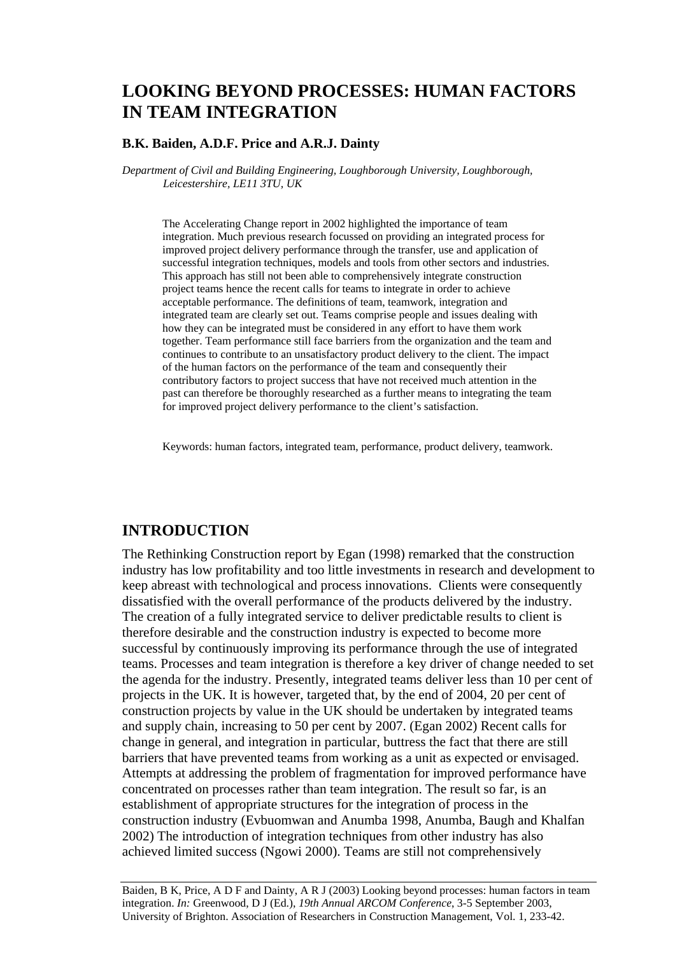# **LOOKING BEYOND PROCESSES: HUMAN FACTORS IN TEAM INTEGRATION**

#### **B.K. Baiden, A.D.F. Price and A.R.J. Dainty**

*Department of Civil and Building Engineering, Loughborough University, Loughborough, Leicestershire, LE11 3TU, UK* 

The Accelerating Change report in 2002 highlighted the importance of team integration. Much previous research focussed on providing an integrated process for improved project delivery performance through the transfer, use and application of successful integration techniques, models and tools from other sectors and industries. This approach has still not been able to comprehensively integrate construction project teams hence the recent calls for teams to integrate in order to achieve acceptable performance. The definitions of team, teamwork, integration and integrated team are clearly set out. Teams comprise people and issues dealing with how they can be integrated must be considered in any effort to have them work together. Team performance still face barriers from the organization and the team and continues to contribute to an unsatisfactory product delivery to the client. The impact of the human factors on the performance of the team and consequently their contributory factors to project success that have not received much attention in the past can therefore be thoroughly researched as a further means to integrating the team for improved project delivery performance to the client's satisfaction.

Keywords: human factors, integrated team, performance, product delivery, teamwork.

### **INTRODUCTION**

The Rethinking Construction report by Egan (1998) remarked that the construction industry has low profitability and too little investments in research and development to keep abreast with technological and process innovations. Clients were consequently dissatisfied with the overall performance of the products delivered by the industry. The creation of a fully integrated service to deliver predictable results to client is therefore desirable and the construction industry is expected to become more successful by continuously improving its performance through the use of integrated teams. Processes and team integration is therefore a key driver of change needed to set the agenda for the industry. Presently, integrated teams deliver less than 10 per cent of projects in the UK. It is however, targeted that, by the end of 2004, 20 per cent of construction projects by value in the UK should be undertaken by integrated teams and supply chain, increasing to 50 per cent by 2007. (Egan 2002) Recent calls for change in general, and integration in particular, buttress the fact that there are still barriers that have prevented teams from working as a unit as expected or envisaged. Attempts at addressing the problem of fragmentation for improved performance have concentrated on processes rather than team integration. The result so far, is an establishment of appropriate structures for the integration of process in the construction industry (Evbuomwan and Anumba 1998, Anumba, Baugh and Khalfan 2002) The introduction of integration techniques from other industry has also achieved limited success (Ngowi 2000). Teams are still not comprehensively

Baiden, B K, Price, A D F and Dainty, A R J (2003) Looking beyond processes: human factors in team integration. *In:* Greenwood, D J (Ed.), *19th Annual ARCOM Conference*, 3-5 September 2003, University of Brighton. Association of Researchers in Construction Management, Vol. 1, 233-42.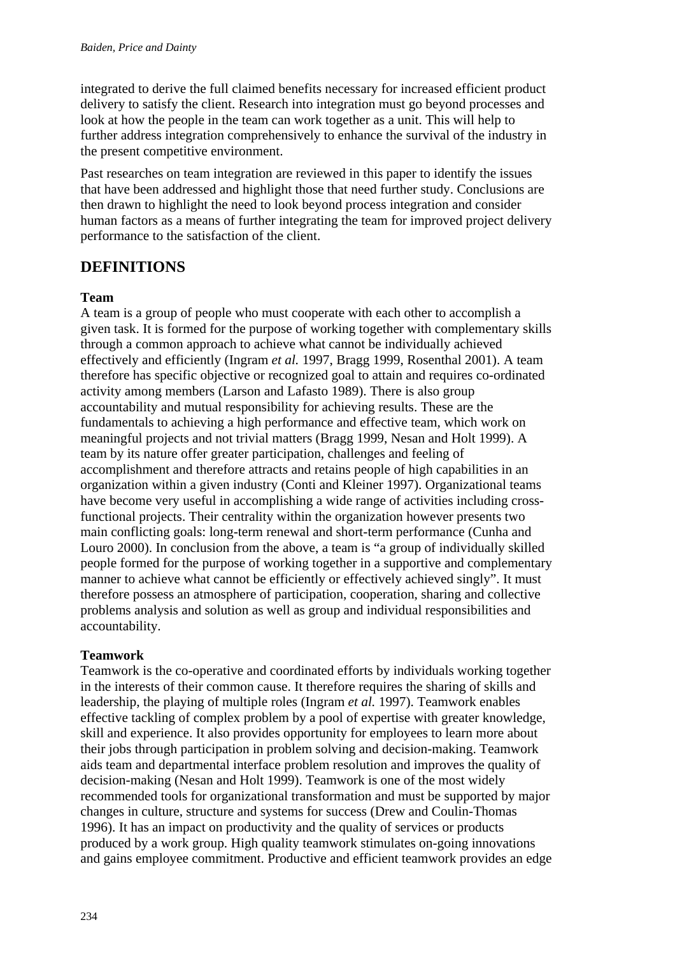integrated to derive the full claimed benefits necessary for increased efficient product delivery to satisfy the client. Research into integration must go beyond processes and look at how the people in the team can work together as a unit. This will help to further address integration comprehensively to enhance the survival of the industry in the present competitive environment.

Past researches on team integration are reviewed in this paper to identify the issues that have been addressed and highlight those that need further study. Conclusions are then drawn to highlight the need to look beyond process integration and consider human factors as a means of further integrating the team for improved project delivery performance to the satisfaction of the client.

# **DEFINITIONS**

## **Team**

A team is a group of people who must cooperate with each other to accomplish a given task. It is formed for the purpose of working together with complementary skills through a common approach to achieve what cannot be individually achieved effectively and efficiently (Ingram *et al.* 1997, Bragg 1999, Rosenthal 2001). A team therefore has specific objective or recognized goal to attain and requires co-ordinated activity among members (Larson and Lafasto 1989). There is also group accountability and mutual responsibility for achieving results. These are the fundamentals to achieving a high performance and effective team, which work on meaningful projects and not trivial matters (Bragg 1999, Nesan and Holt 1999). A team by its nature offer greater participation, challenges and feeling of accomplishment and therefore attracts and retains people of high capabilities in an organization within a given industry (Conti and Kleiner 1997). Organizational teams have become very useful in accomplishing a wide range of activities including crossfunctional projects. Their centrality within the organization however presents two main conflicting goals: long-term renewal and short-term performance (Cunha and Louro 2000). In conclusion from the above, a team is "a group of individually skilled people formed for the purpose of working together in a supportive and complementary manner to achieve what cannot be efficiently or effectively achieved singly". It must therefore possess an atmosphere of participation, cooperation, sharing and collective problems analysis and solution as well as group and individual responsibilities and accountability.

## **Teamwork**

Teamwork is the co-operative and coordinated efforts by individuals working together in the interests of their common cause. It therefore requires the sharing of skills and leadership, the playing of multiple roles (Ingram *et al.* 1997). Teamwork enables effective tackling of complex problem by a pool of expertise with greater knowledge, skill and experience. It also provides opportunity for employees to learn more about their jobs through participation in problem solving and decision-making. Teamwork aids team and departmental interface problem resolution and improves the quality of decision-making (Nesan and Holt 1999). Teamwork is one of the most widely recommended tools for organizational transformation and must be supported by major changes in culture, structure and systems for success (Drew and Coulin-Thomas 1996). It has an impact on productivity and the quality of services or products produced by a work group. High quality teamwork stimulates on-going innovations and gains employee commitment. Productive and efficient teamwork provides an edge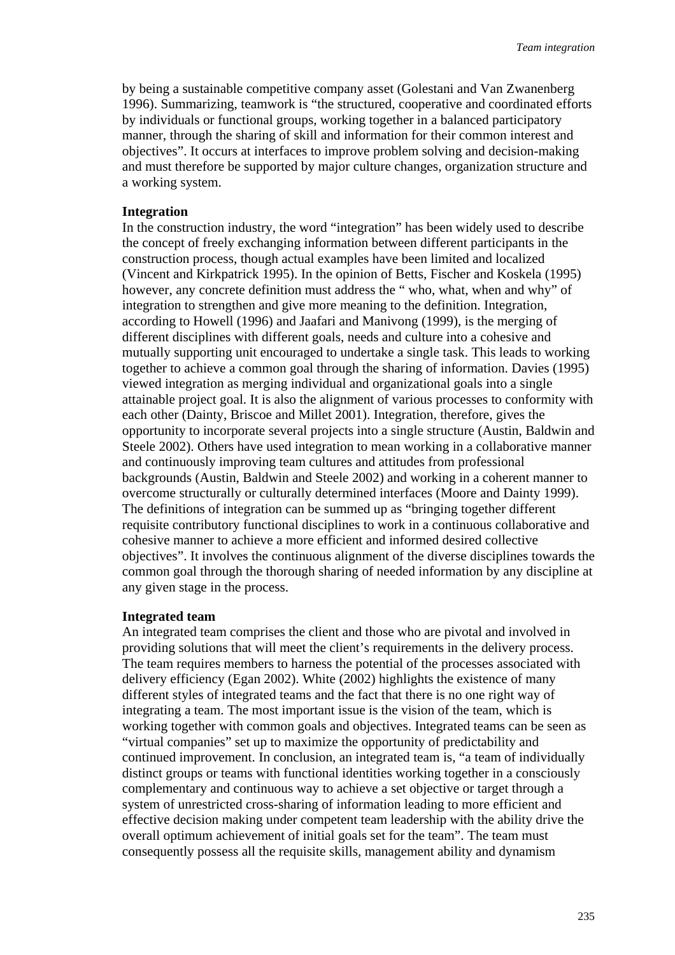by being a sustainable competitive company asset (Golestani and Van Zwanenberg 1996). Summarizing, teamwork is "the structured, cooperative and coordinated efforts by individuals or functional groups, working together in a balanced participatory manner, through the sharing of skill and information for their common interest and objectives". It occurs at interfaces to improve problem solving and decision-making and must therefore be supported by major culture changes, organization structure and a working system.

#### **Integration**

In the construction industry, the word "integration" has been widely used to describe the concept of freely exchanging information between different participants in the construction process, though actual examples have been limited and localized (Vincent and Kirkpatrick 1995). In the opinion of Betts, Fischer and Koskela (1995) however, any concrete definition must address the "who, what, when and why" of integration to strengthen and give more meaning to the definition. Integration, according to Howell (1996) and Jaafari and Manivong (1999), is the merging of different disciplines with different goals, needs and culture into a cohesive and mutually supporting unit encouraged to undertake a single task. This leads to working together to achieve a common goal through the sharing of information. Davies (1995) viewed integration as merging individual and organizational goals into a single attainable project goal. It is also the alignment of various processes to conformity with each other (Dainty, Briscoe and Millet 2001). Integration, therefore, gives the opportunity to incorporate several projects into a single structure (Austin, Baldwin and Steele 2002). Others have used integration to mean working in a collaborative manner and continuously improving team cultures and attitudes from professional backgrounds (Austin, Baldwin and Steele 2002) and working in a coherent manner to overcome structurally or culturally determined interfaces (Moore and Dainty 1999). The definitions of integration can be summed up as "bringing together different requisite contributory functional disciplines to work in a continuous collaborative and cohesive manner to achieve a more efficient and informed desired collective objectives". It involves the continuous alignment of the diverse disciplines towards the common goal through the thorough sharing of needed information by any discipline at any given stage in the process.

#### **Integrated team**

An integrated team comprises the client and those who are pivotal and involved in providing solutions that will meet the client's requirements in the delivery process. The team requires members to harness the potential of the processes associated with delivery efficiency (Egan 2002). White (2002) highlights the existence of many different styles of integrated teams and the fact that there is no one right way of integrating a team. The most important issue is the vision of the team, which is working together with common goals and objectives. Integrated teams can be seen as "virtual companies" set up to maximize the opportunity of predictability and continued improvement. In conclusion, an integrated team is, "a team of individually distinct groups or teams with functional identities working together in a consciously complementary and continuous way to achieve a set objective or target through a system of unrestricted cross-sharing of information leading to more efficient and effective decision making under competent team leadership with the ability drive the overall optimum achievement of initial goals set for the team". The team must consequently possess all the requisite skills, management ability and dynamism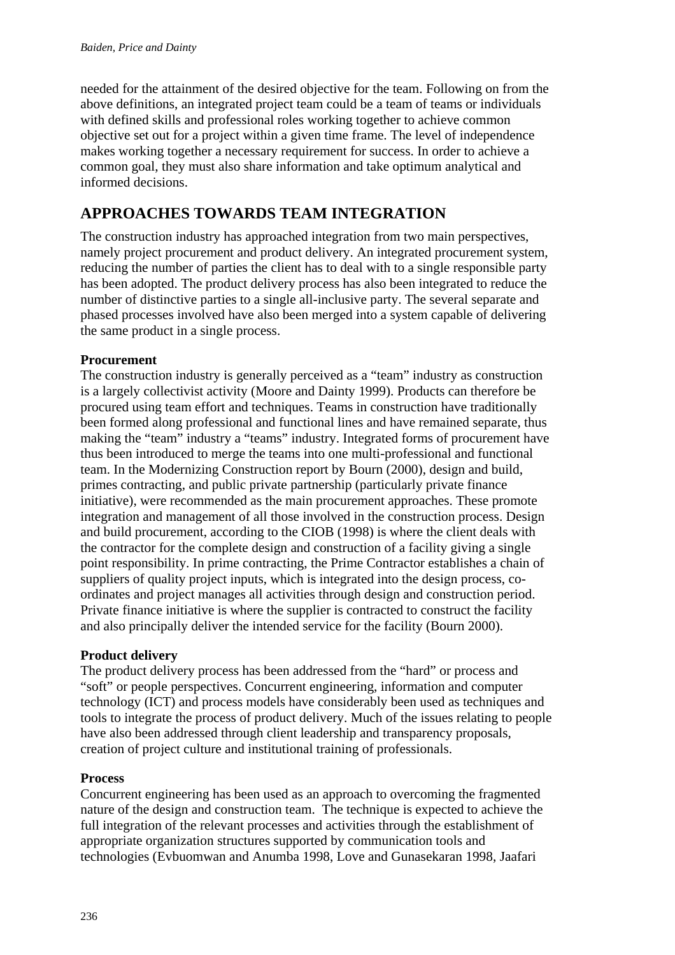needed for the attainment of the desired objective for the team. Following on from the above definitions, an integrated project team could be a team of teams or individuals with defined skills and professional roles working together to achieve common objective set out for a project within a given time frame. The level of independence makes working together a necessary requirement for success. In order to achieve a common goal, they must also share information and take optimum analytical and informed decisions.

# **APPROACHES TOWARDS TEAM INTEGRATION**

The construction industry has approached integration from two main perspectives, namely project procurement and product delivery. An integrated procurement system, reducing the number of parties the client has to deal with to a single responsible party has been adopted. The product delivery process has also been integrated to reduce the number of distinctive parties to a single all-inclusive party. The several separate and phased processes involved have also been merged into a system capable of delivering the same product in a single process.

## **Procurement**

The construction industry is generally perceived as a "team" industry as construction is a largely collectivist activity (Moore and Dainty 1999). Products can therefore be procured using team effort and techniques. Teams in construction have traditionally been formed along professional and functional lines and have remained separate, thus making the "team" industry a "teams" industry. Integrated forms of procurement have thus been introduced to merge the teams into one multi-professional and functional team. In the Modernizing Construction report by Bourn (2000), design and build, primes contracting, and public private partnership (particularly private finance initiative), were recommended as the main procurement approaches. These promote integration and management of all those involved in the construction process. Design and build procurement, according to the CIOB (1998) is where the client deals with the contractor for the complete design and construction of a facility giving a single point responsibility. In prime contracting, the Prime Contractor establishes a chain of suppliers of quality project inputs, which is integrated into the design process, coordinates and project manages all activities through design and construction period. Private finance initiative is where the supplier is contracted to construct the facility and also principally deliver the intended service for the facility (Bourn 2000).

## **Product delivery**

The product delivery process has been addressed from the "hard" or process and "soft" or people perspectives. Concurrent engineering, information and computer technology (ICT) and process models have considerably been used as techniques and tools to integrate the process of product delivery. Much of the issues relating to people have also been addressed through client leadership and transparency proposals, creation of project culture and institutional training of professionals.

### **Process**

Concurrent engineering has been used as an approach to overcoming the fragmented nature of the design and construction team. The technique is expected to achieve the full integration of the relevant processes and activities through the establishment of appropriate organization structures supported by communication tools and technologies (Evbuomwan and Anumba 1998, Love and Gunasekaran 1998, Jaafari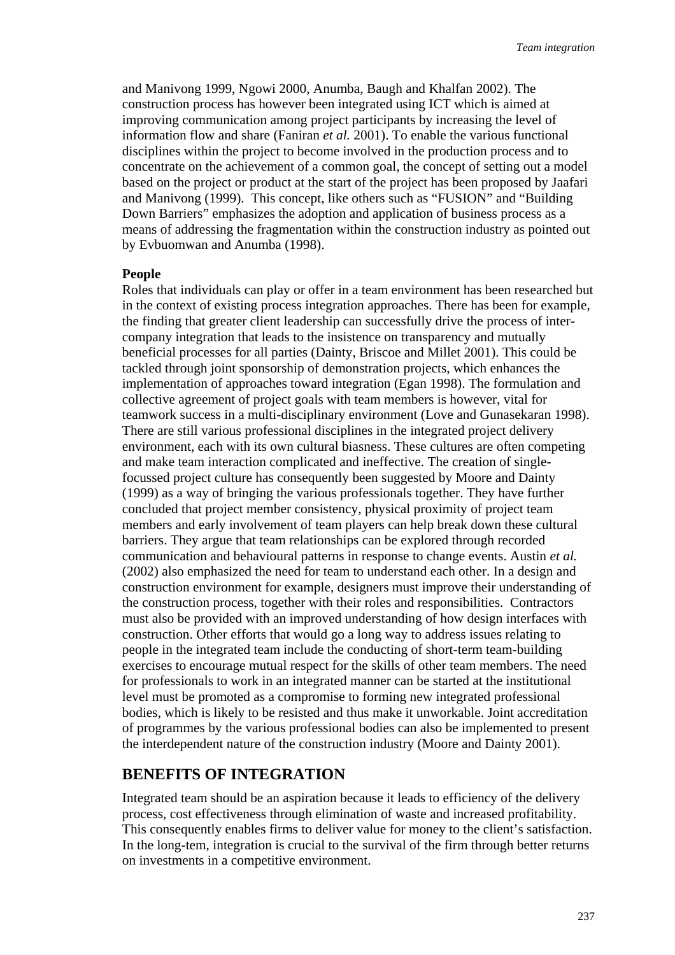and Manivong 1999, Ngowi 2000, Anumba, Baugh and Khalfan 2002). The construction process has however been integrated using ICT which is aimed at improving communication among project participants by increasing the level of information flow and share (Faniran *et al.* 2001). To enable the various functional disciplines within the project to become involved in the production process and to concentrate on the achievement of a common goal, the concept of setting out a model based on the project or product at the start of the project has been proposed by Jaafari and Manivong (1999). This concept, like others such as "FUSION" and "Building Down Barriers" emphasizes the adoption and application of business process as a means of addressing the fragmentation within the construction industry as pointed out by Evbuomwan and Anumba (1998).

#### **People**

Roles that individuals can play or offer in a team environment has been researched but in the context of existing process integration approaches. There has been for example, the finding that greater client leadership can successfully drive the process of intercompany integration that leads to the insistence on transparency and mutually beneficial processes for all parties (Dainty, Briscoe and Millet 2001). This could be tackled through joint sponsorship of demonstration projects, which enhances the implementation of approaches toward integration (Egan 1998). The formulation and collective agreement of project goals with team members is however, vital for teamwork success in a multi-disciplinary environment (Love and Gunasekaran 1998). There are still various professional disciplines in the integrated project delivery environment, each with its own cultural biasness. These cultures are often competing and make team interaction complicated and ineffective. The creation of singlefocussed project culture has consequently been suggested by Moore and Dainty (1999) as a way of bringing the various professionals together. They have further concluded that project member consistency, physical proximity of project team members and early involvement of team players can help break down these cultural barriers. They argue that team relationships can be explored through recorded communication and behavioural patterns in response to change events. Austin *et al.*  (2002) also emphasized the need for team to understand each other. In a design and construction environment for example, designers must improve their understanding of the construction process, together with their roles and responsibilities. Contractors must also be provided with an improved understanding of how design interfaces with construction. Other efforts that would go a long way to address issues relating to people in the integrated team include the conducting of short-term team-building exercises to encourage mutual respect for the skills of other team members. The need for professionals to work in an integrated manner can be started at the institutional level must be promoted as a compromise to forming new integrated professional bodies, which is likely to be resisted and thus make it unworkable. Joint accreditation of programmes by the various professional bodies can also be implemented to present the interdependent nature of the construction industry (Moore and Dainty 2001).

### **BENEFITS OF INTEGRATION**

Integrated team should be an aspiration because it leads to efficiency of the delivery process, cost effectiveness through elimination of waste and increased profitability. This consequently enables firms to deliver value for money to the client's satisfaction. In the long-tem, integration is crucial to the survival of the firm through better returns on investments in a competitive environment.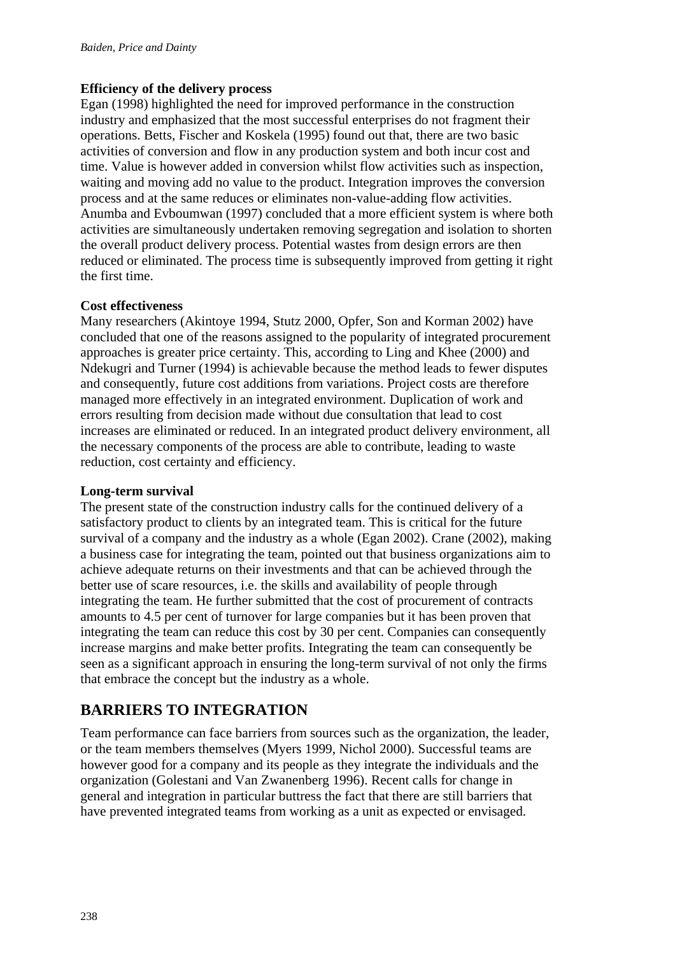### **Efficiency of the delivery process**

Egan (1998) highlighted the need for improved performance in the construction industry and emphasized that the most successful enterprises do not fragment their operations. Betts, Fischer and Koskela (1995) found out that, there are two basic activities of conversion and flow in any production system and both incur cost and time. Value is however added in conversion whilst flow activities such as inspection, waiting and moving add no value to the product. Integration improves the conversion process and at the same reduces or eliminates non-value-adding flow activities. Anumba and Evboumwan (1997) concluded that a more efficient system is where both activities are simultaneously undertaken removing segregation and isolation to shorten the overall product delivery process. Potential wastes from design errors are then reduced or eliminated. The process time is subsequently improved from getting it right the first time.

### **Cost effectiveness**

Many researchers (Akintoye 1994, Stutz 2000, Opfer, Son and Korman 2002) have concluded that one of the reasons assigned to the popularity of integrated procurement approaches is greater price certainty. This, according to Ling and Khee (2000) and Ndekugri and Turner (1994) is achievable because the method leads to fewer disputes and consequently, future cost additions from variations. Project costs are therefore managed more effectively in an integrated environment. Duplication of work and errors resulting from decision made without due consultation that lead to cost increases are eliminated or reduced. In an integrated product delivery environment, all the necessary components of the process are able to contribute, leading to waste reduction, cost certainty and efficiency.

### **Long-term survival**

The present state of the construction industry calls for the continued delivery of a satisfactory product to clients by an integrated team. This is critical for the future survival of a company and the industry as a whole (Egan 2002). Crane (2002), making a business case for integrating the team, pointed out that business organizations aim to achieve adequate returns on their investments and that can be achieved through the better use of scare resources, i.e. the skills and availability of people through integrating the team. He further submitted that the cost of procurement of contracts amounts to 4.5 per cent of turnover for large companies but it has been proven that integrating the team can reduce this cost by 30 per cent. Companies can consequently increase margins and make better profits. Integrating the team can consequently be seen as a significant approach in ensuring the long-term survival of not only the firms that embrace the concept but the industry as a whole.

# **BARRIERS TO INTEGRATION**

Team performance can face barriers from sources such as the organization, the leader, or the team members themselves (Myers 1999, Nichol 2000). Successful teams are however good for a company and its people as they integrate the individuals and the organization (Golestani and Van Zwanenberg 1996). Recent calls for change in general and integration in particular buttress the fact that there are still barriers that have prevented integrated teams from working as a unit as expected or envisaged.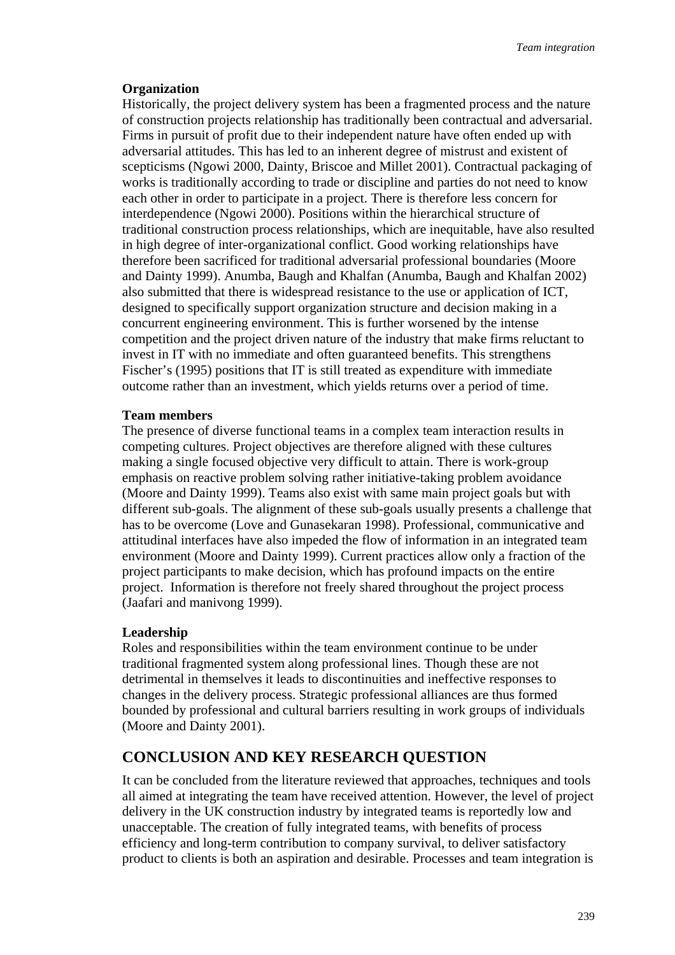### **Organization**

Historically, the project delivery system has been a fragmented process and the nature of construction projects relationship has traditionally been contractual and adversarial. Firms in pursuit of profit due to their independent nature have often ended up with adversarial attitudes. This has led to an inherent degree of mistrust and existent of scepticisms (Ngowi 2000, Dainty, Briscoe and Millet 2001). Contractual packaging of works is traditionally according to trade or discipline and parties do not need to know each other in order to participate in a project. There is therefore less concern for interdependence (Ngowi 2000). Positions within the hierarchical structure of traditional construction process relationships, which are inequitable, have also resulted in high degree of inter-organizational conflict. Good working relationships have therefore been sacrificed for traditional adversarial professional boundaries (Moore and Dainty 1999). Anumba, Baugh and Khalfan (Anumba, Baugh and Khalfan 2002) also submitted that there is widespread resistance to the use or application of ICT, designed to specifically support organization structure and decision making in a concurrent engineering environment. This is further worsened by the intense competition and the project driven nature of the industry that make firms reluctant to invest in IT with no immediate and often guaranteed benefits. This strengthens Fischer's (1995) positions that IT is still treated as expenditure with immediate outcome rather than an investment, which yields returns over a period of time.

### **Team members**

The presence of diverse functional teams in a complex team interaction results in competing cultures. Project objectives are therefore aligned with these cultures making a single focused objective very difficult to attain. There is work-group emphasis on reactive problem solving rather initiative-taking problem avoidance (Moore and Dainty 1999). Teams also exist with same main project goals but with different sub-goals. The alignment of these sub-goals usually presents a challenge that has to be overcome (Love and Gunasekaran 1998). Professional, communicative and attitudinal interfaces have also impeded the flow of information in an integrated team environment (Moore and Dainty 1999). Current practices allow only a fraction of the project participants to make decision, which has profound impacts on the entire project. Information is therefore not freely shared throughout the project process (Jaafari and manivong 1999).

#### **Leadership**

Roles and responsibilities within the team environment continue to be under traditional fragmented system along professional lines. Though these are not detrimental in themselves it leads to discontinuities and ineffective responses to changes in the delivery process. Strategic professional alliances are thus formed bounded by professional and cultural barriers resulting in work groups of individuals (Moore and Dainty 2001).

## **CONCLUSION AND KEY RESEARCH QUESTION**

It can be concluded from the literature reviewed that approaches, techniques and tools all aimed at integrating the team have received attention. However, the level of project delivery in the UK construction industry by integrated teams is reportedly low and unacceptable. The creation of fully integrated teams, with benefits of process efficiency and long-term contribution to company survival, to deliver satisfactory product to clients is both an aspiration and desirable. Processes and team integration is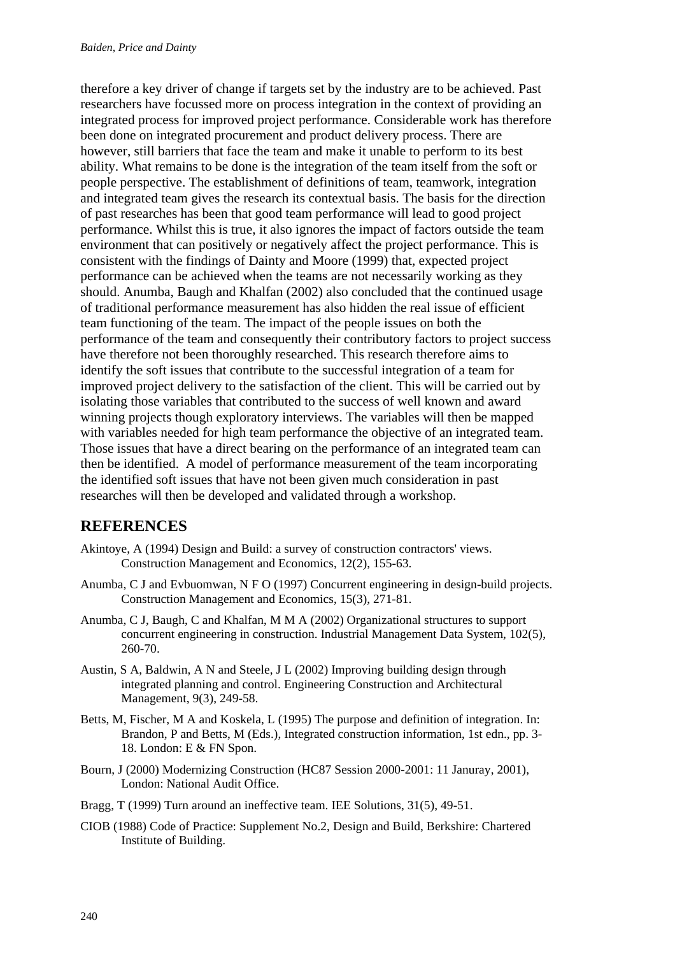therefore a key driver of change if targets set by the industry are to be achieved. Past researchers have focussed more on process integration in the context of providing an integrated process for improved project performance. Considerable work has therefore been done on integrated procurement and product delivery process. There are however, still barriers that face the team and make it unable to perform to its best ability. What remains to be done is the integration of the team itself from the soft or people perspective. The establishment of definitions of team, teamwork, integration and integrated team gives the research its contextual basis. The basis for the direction of past researches has been that good team performance will lead to good project performance. Whilst this is true, it also ignores the impact of factors outside the team environment that can positively or negatively affect the project performance. This is consistent with the findings of Dainty and Moore (1999) that, expected project performance can be achieved when the teams are not necessarily working as they should. Anumba, Baugh and Khalfan (2002) also concluded that the continued usage of traditional performance measurement has also hidden the real issue of efficient team functioning of the team. The impact of the people issues on both the performance of the team and consequently their contributory factors to project success have therefore not been thoroughly researched. This research therefore aims to identify the soft issues that contribute to the successful integration of a team for improved project delivery to the satisfaction of the client. This will be carried out by isolating those variables that contributed to the success of well known and award winning projects though exploratory interviews. The variables will then be mapped with variables needed for high team performance the objective of an integrated team. Those issues that have a direct bearing on the performance of an integrated team can then be identified. A model of performance measurement of the team incorporating the identified soft issues that have not been given much consideration in past researches will then be developed and validated through a workshop.

## **REFERENCES**

- Akintoye, A (1994) Design and Build: a survey of construction contractors' views. Construction Management and Economics, 12(2), 155-63.
- Anumba, C J and Evbuomwan, N F O (1997) Concurrent engineering in design-build projects. Construction Management and Economics, 15(3), 271-81.
- Anumba, C J, Baugh, C and Khalfan, M M A (2002) Organizational structures to support concurrent engineering in construction. Industrial Management Data System, 102(5), 260-70.
- Austin, S A, Baldwin, A N and Steele, J L (2002) Improving building design through integrated planning and control. Engineering Construction and Architectural Management, 9(3), 249-58.
- Betts, M, Fischer, M A and Koskela, L (1995) The purpose and definition of integration. In: Brandon, P and Betts, M (Eds.), Integrated construction information, 1st edn., pp. 3- 18. London: E & FN Spon.
- Bourn, J (2000) Modernizing Construction (HC87 Session 2000-2001: 11 Januray, 2001), London: National Audit Office.
- Bragg, T (1999) Turn around an ineffective team. IEE Solutions, 31(5), 49-51.
- CIOB (1988) Code of Practice: Supplement No.2, Design and Build, Berkshire: Chartered Institute of Building.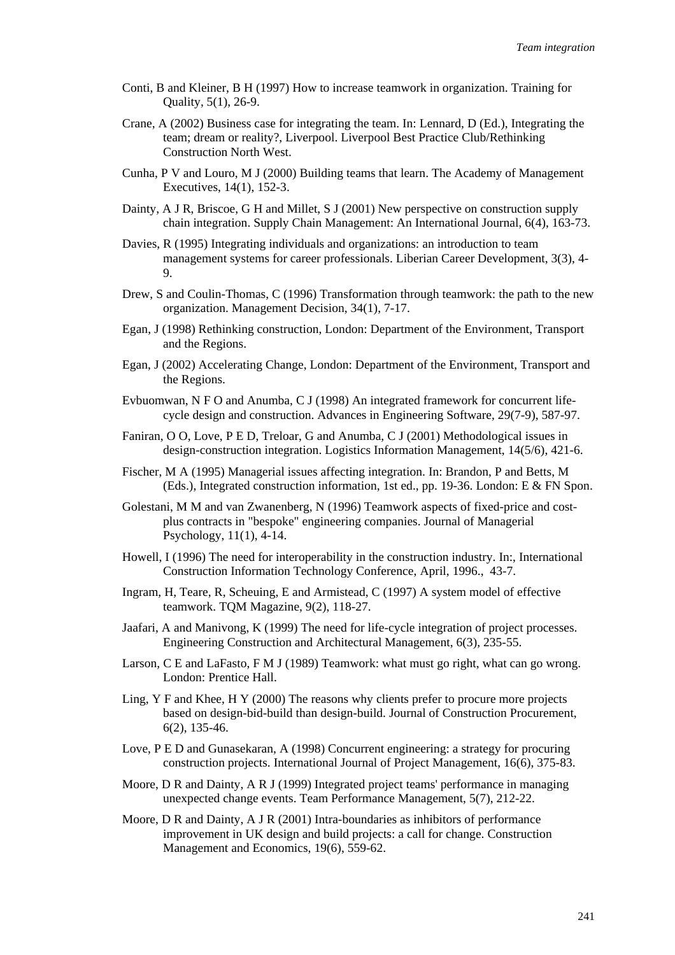- Conti, B and Kleiner, B H (1997) How to increase teamwork in organization. Training for Quality, 5(1), 26-9.
- Crane, A (2002) Business case for integrating the team. In: Lennard, D (Ed.), Integrating the team; dream or reality?, Liverpool. Liverpool Best Practice Club/Rethinking Construction North West.
- Cunha, P V and Louro, M J (2000) Building teams that learn. The Academy of Management Executives, 14(1), 152-3.
- Dainty, A J R, Briscoe, G H and Millet, S J (2001) New perspective on construction supply chain integration. Supply Chain Management: An International Journal, 6(4), 163-73.
- Davies, R (1995) Integrating individuals and organizations: an introduction to team management systems for career professionals. Liberian Career Development, 3(3), 4- 9.
- Drew, S and Coulin-Thomas, C (1996) Transformation through teamwork: the path to the new organization. Management Decision, 34(1), 7-17.
- Egan, J (1998) Rethinking construction, London: Department of the Environment, Transport and the Regions.
- Egan, J (2002) Accelerating Change, London: Department of the Environment, Transport and the Regions.
- Evbuomwan, N F O and Anumba, C J (1998) An integrated framework for concurrent lifecycle design and construction. Advances in Engineering Software, 29(7-9), 587-97.
- Faniran, O O, Love, P E D, Treloar, G and Anumba, C J (2001) Methodological issues in design-construction integration. Logistics Information Management, 14(5/6), 421-6.
- Fischer, M A (1995) Managerial issues affecting integration. In: Brandon, P and Betts, M (Eds.), Integrated construction information, 1st ed., pp. 19-36. London: E & FN Spon.
- Golestani, M M and van Zwanenberg, N (1996) Teamwork aspects of fixed-price and costplus contracts in "bespoke" engineering companies. Journal of Managerial Psychology, 11(1), 4-14.
- Howell, I (1996) The need for interoperability in the construction industry. In:, International Construction Information Technology Conference, April, 1996., 43-7.
- Ingram, H, Teare, R, Scheuing, E and Armistead, C (1997) A system model of effective teamwork. TQM Magazine, 9(2), 118-27.
- Jaafari, A and Manivong, K (1999) The need for life-cycle integration of project processes. Engineering Construction and Architectural Management, 6(3), 235-55.
- Larson, C E and LaFasto, F M J (1989) Teamwork: what must go right, what can go wrong. London: Prentice Hall.
- Ling, Y F and Khee, H Y (2000) The reasons why clients prefer to procure more projects based on design-bid-build than design-build. Journal of Construction Procurement, 6(2), 135-46.
- Love, P E D and Gunasekaran, A (1998) Concurrent engineering: a strategy for procuring construction projects. International Journal of Project Management, 16(6), 375-83.
- Moore, D R and Dainty, A R J (1999) Integrated project teams' performance in managing unexpected change events. Team Performance Management, 5(7), 212-22.
- Moore, D R and Dainty, A J R (2001) Intra-boundaries as inhibitors of performance improvement in UK design and build projects: a call for change. Construction Management and Economics, 19(6), 559-62.